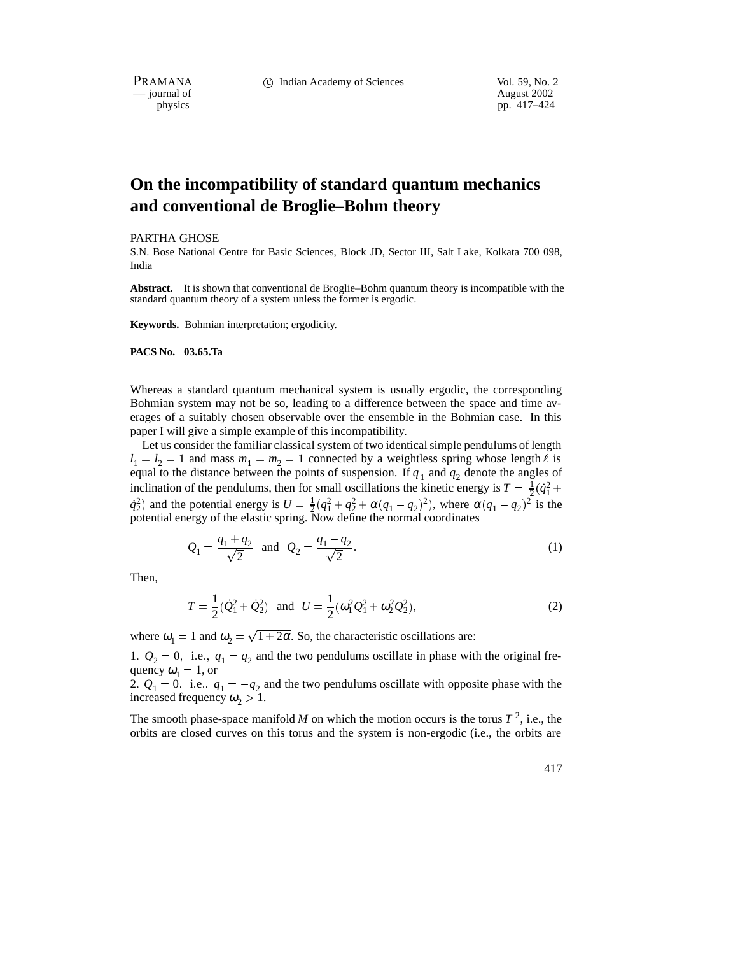PRAMANA 
<sup>C</sup> Indian Academy of Sciences 
<sup>Vol. 59, No. 2<br>
— iournal of August 2002</sup>

physics<br>
and the physics<br>  $\frac{1}{2002}$  physics<br>  $\frac{1}{2002}$  pp. 417–424 pp. 417–424

# **On the incompatibility of standard quantum mechanics and conventional de Broglie–Bohm theory**

#### PARTHA GHOSE

S.N. Bose National Centre for Basic Sciences, Block JD, Sector III, Salt Lake, Kolkata 700 098, India

**Abstract.** It is shown that conventional de Broglie–Bohm quantum theory is incompatible with the standard quantum theory of a system unless the former is ergodic.

**Keywords.** Bohmian interpretation; ergodicity.

#### **PACS No. 03.65.Ta**

Whereas a standard quantum mechanical system is usually ergodic, the corresponding Bohmian system may not be so, leading to a difference between the space and time averages of a suitably chosen observable over the ensemble in the Bohmian case. In this paper I will give a simple example of this incompatibility.

Let us consider the familiar classical system of two identical simple pendulums of length  $l_1 = l_2 = 1$  and mass  $m_1 = m_2 = 1$  connected by a weightless spring whose length  $\ell$  is equal to the distance between the points of suspension. If  $q_1$  and  $q_2$  denote the angles of inclination of the pendulums, then for small oscillations the kinetic energy is  $T = \frac{1}{2}(\dot{q}_1^2 +$  $q_2^2$ ) and the potential energy is  $U = \frac{1}{2}(q_1^2 + q_2^2 + \alpha(q_1 - q_2)^2)$ , where  $\alpha(q_1 - q_2)^2$  is the potential energy of the elastic spring. Now define the normal coordinates

$$
Q_1 = \frac{q_1 + q_2}{\sqrt{2}} \text{ and } Q_2 = \frac{q_1 - q_2}{\sqrt{2}}.
$$
 (1)

Then,

$$
T = \frac{1}{2}(\dot{Q}_1^2 + \dot{Q}_2^2) \text{ and } U = \frac{1}{2}(\omega_1^2 Q_1^2 + \omega_2^2 Q_2^2),
$$
 (2)

where  $\omega_1 = 1$  and  $\omega_2 = \sqrt{1 + 2\alpha}$ . So, the characteristic oscillations are:

1.  $Q_2 = 0$ , i.e.,  $q_1 = q_2$  and the two pendulums oscillate in phase with the original frequency  $\omega_1 = 1$ , or

2.  $Q_1 = 0$ , i.e.,  $q_1 = -q_2$  and the two pendulums oscillate with opposite phase with the increased frequency  $\omega_2 > 1$ .

The smooth phase-space manifold *M* on which the motion occurs is the torus  $T^2$ , i.e., the orbits are closed curves on this torus and the system is non-ergodic (i.e., the orbits are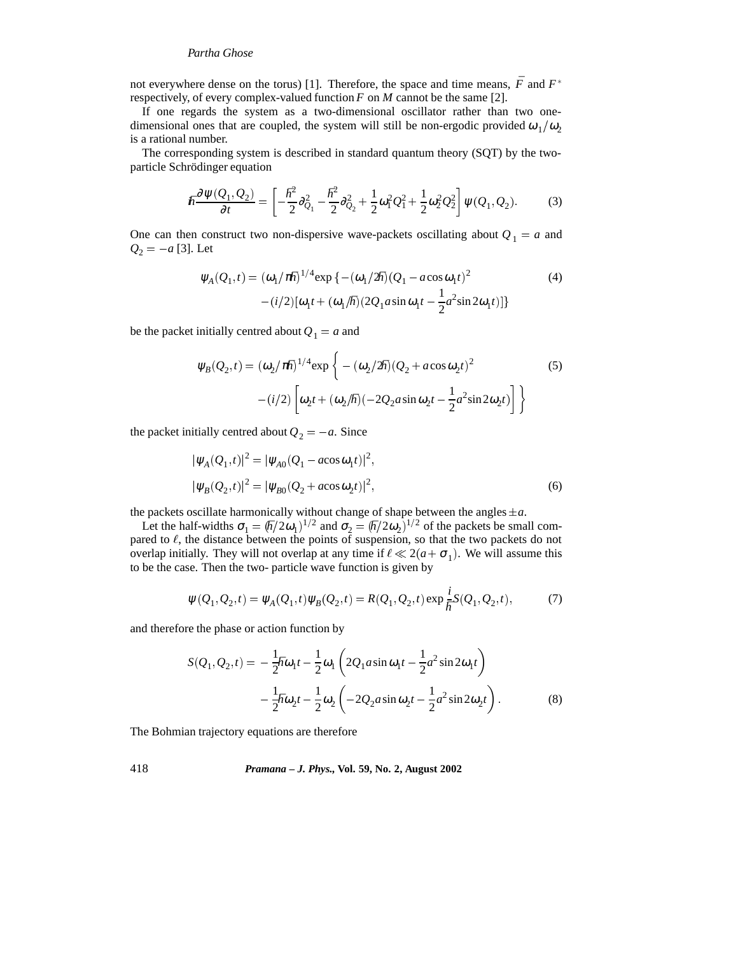## *Partha Ghose*

not everywhere dense on the torus) [1]. Therefore, the space and time means,  $\bar{F}$  and  $F^*$ respectively, of every complex-valued function *F* on *M* cannot be the same [2].

If one regards the system as a two-dimensional oscillator rather than two onedimensional ones that are coupled, the system will still be non-ergodic provided  $\omega_1/\omega_2$ is a rational number.

The corresponding system is described in standard quantum theory (SQT) by the twoparticle Schrödinger equation

$$
\hbar \frac{\partial \psi(Q_1, Q_2)}{\partial t} = \left[ -\frac{\hbar^2}{2} \partial_{Q_1}^2 - \frac{\hbar^2}{2} \partial_{Q_2}^2 + \frac{1}{2} \omega_1^2 Q_1^2 + \frac{1}{2} \omega_2^2 Q_2^2 \right] \psi(Q_1, Q_2).
$$
 (3)

One can then construct two non-dispersive wave-packets oscillating about  $Q_1 = a$  and  $Q_2 = -a$  [3]. Let

$$
\Psi_A(Q_1, t) = (\omega_1/\pi\hbar)^{1/4} \exp\left\{ -(\omega_1/2\hbar)(Q_1 - a\cos\omega_1 t)^2 - (i/2)[\omega_1 t + (\omega_1/\hbar)(2Q_1 a\sin\omega_1 t - \frac{1}{2}a^2 \sin 2\omega_1 t)] \right\}
$$
(4)

be the packet initially centred about  $Q_1 = a$  and

$$
\psi_B(Q_2, t) = (\omega_2/\pi\hbar)^{1/4} \exp\left\{- (\omega_2/2\hbar)(Q_2 + a\cos\omega_2 t)^2 - (i/2) \left[\omega_2 t + (\omega_2/\hbar)(-2Q_2 a\sin\omega_2 t - \frac{1}{2}a^2 \sin 2\omega_2 t)\right] \right\}
$$
\n(5)

the packet initially centred about  $Q_2 = -a$ . Since

$$
|\psi_A(Q_1, t)|^2 = |\psi_{A0}(Q_1 - a\cos\omega_1 t)|^2,
$$
  

$$
|\psi_B(Q_2, t)|^2 = |\psi_{B0}(Q_2 + a\cos\omega_2 t)|^2,
$$
 (6)

the packets oscillate harmonically without change of shape between the angles  $\pm a$ .

Let the half-widths  $\sigma_1 = (\hbar/2\omega_1)^{1/2}$  and  $\sigma_2 = (\hbar/2\omega_2)^{1/2}$  of the packets be small compared to  $\ell$ , the distance between the points of suspension, so that the two packets do not overlap initially. They will not overlap at any time if  $\ell \ll 2(a + \sigma_1)$ . We will assume this to be the case. Then the two- particle wave function is given by

$$
\psi(Q_1, Q_2, t) = \psi_A(Q_1, t)\psi_B(Q_2, t) = R(Q_1, Q_2, t) \exp\frac{i}{\hbar}S(Q_1, Q_2, t),
$$
 (7)

and therefore the phase or action function by

$$
S(Q_1, Q_2, t) = -\frac{1}{2}\hbar\omega_1 t - \frac{1}{2}\omega_1 \left(2Q_1 a \sin \omega_1 t - \frac{1}{2}a^2 \sin 2\omega_1 t\right) -\frac{1}{2}\hbar\omega_2 t - \frac{1}{2}\omega_2 \left(-2Q_2 a \sin \omega_2 t - \frac{1}{2}a^2 \sin 2\omega_2 t\right)
$$
(8)

The Bohmian trajectory equations are therefore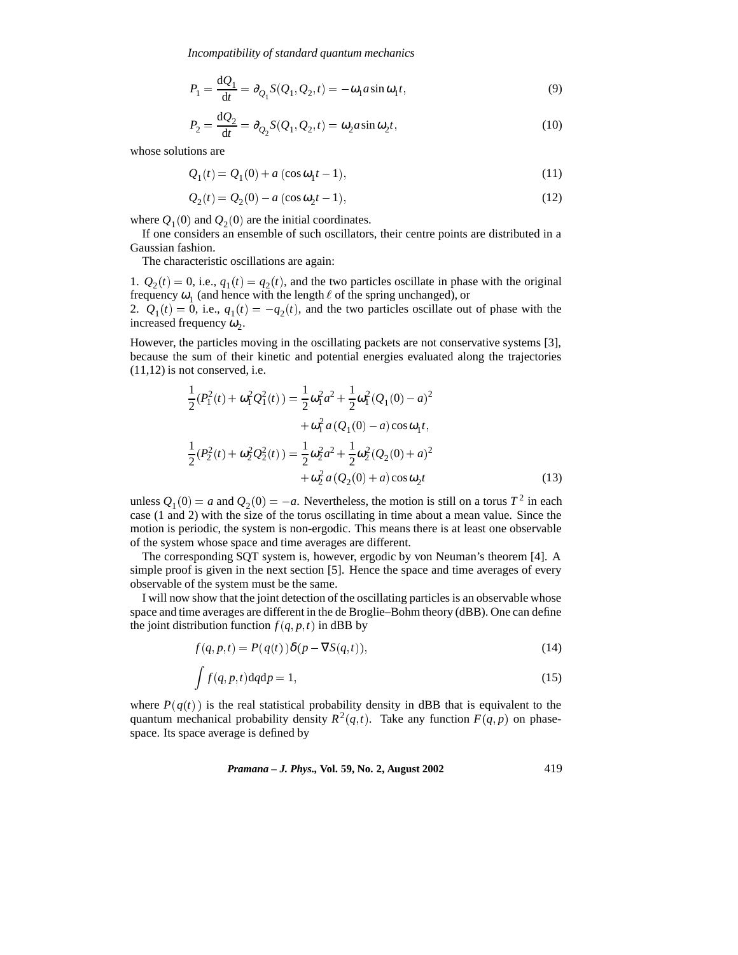*Incompatibility of standard quantum mechanics*

$$
P_1 = \frac{\mathrm{d}Q_1}{\mathrm{d}t} = \partial_{Q_1} S(Q_1, Q_2, t) = -\omega_1 a \sin \omega_1 t,\tag{9}
$$

$$
P_2 = \frac{\mathrm{d}Q_2}{\mathrm{d}t} = \partial_{Q_2} S(Q_1, Q_2, t) = \omega_2 a \sin \omega_2 t,\tag{10}
$$

whose solutions are

$$
Q_1(t) = Q_1(0) + a \left(\cos \omega_1 t - 1\right),\tag{11}
$$

$$
Q_2(t) = Q_2(0) - a\left(\cos\omega_2 t - 1\right),\tag{12}
$$

where  $Q_1(0)$  and  $Q_2(0)$  are the initial coordinates.

If one considers an ensemble of such oscillators, their centre points are distributed in a Gaussian fashion.

The characteristic oscillations are again:

1.  $Q_2(t) = 0$ , i.e.,  $q_1(t) = q_2(t)$ , and the two particles oscillate in phase with the original frequency  $\omega_1$  (and hence with the length  $\ell$  of the spring unchanged), or

2.  $Q_1(t) = 0$ , i.e.,  $q_1(t) = -q_2(t)$ , and the two particles oscillate out of phase with the increased frequency  $\omega_2$ .

However, the particles moving in the oscillating packets are not conservative systems [3], because the sum of their kinetic and potential energies evaluated along the trajectories (11,12) is not conserved, i.e.

$$
\frac{1}{2}(P_1^2(t) + \omega_1^2 Q_1^2(t)) = \frac{1}{2}\omega_1^2 a^2 + \frac{1}{2}\omega_1^2 (Q_1(0) - a)^2
$$

$$
+ \omega_1^2 a (Q_1(0) - a) \cos \omega_1 t,
$$

$$
\frac{1}{2}(P_2^2(t) + \omega_2^2 Q_2^2(t)) = \frac{1}{2}\omega_2^2 a^2 + \frac{1}{2}\omega_2^2 (Q_2(0) + a)^2
$$

$$
+ \omega_2^2 a (Q_2(0) + a) \cos \omega_2 t
$$
(13)

unless  $Q_1(0) = a$  and  $Q_2(0) = -a$ . Nevertheless, the motion is still on a torus  $T^2$  in each case (1 and 2) with the size of the torus oscillating in time about a mean value. Since the motion is periodic, the system is non-ergodic. This means there is at least one observable of the system whose space and time averages are different.

The corresponding SQT system is, however, ergodic by von Neuman's theorem [4]. A simple proof is given in the next section [5]. Hence the space and time averages of every observable of the system must be the same.

I will now show that the joint detection of the oscillating particles is an observable whose space and time averages are different in the de Broglie–Bohm theory (dBB). One can define the joint distribution function  $f(q, p, t)$  in dBB by

$$
f(q, p, t) = P(q(t))\delta(p - \nabla S(q, t)),
$$
\n(14)

$$
\int f(q, p, t) \, dq \, dp = 1,\tag{15}
$$

where  $P(q(t))$  is the real statistical probability density in dBB that is equivalent to the quantum mechanical probability density  $R^2(q,t)$ . Take any function  $F(q, p)$  on phasespace. Its space average is defined by

*Pramana – J. Phys.,* **Vol. 59, No. 2, August 2002** 419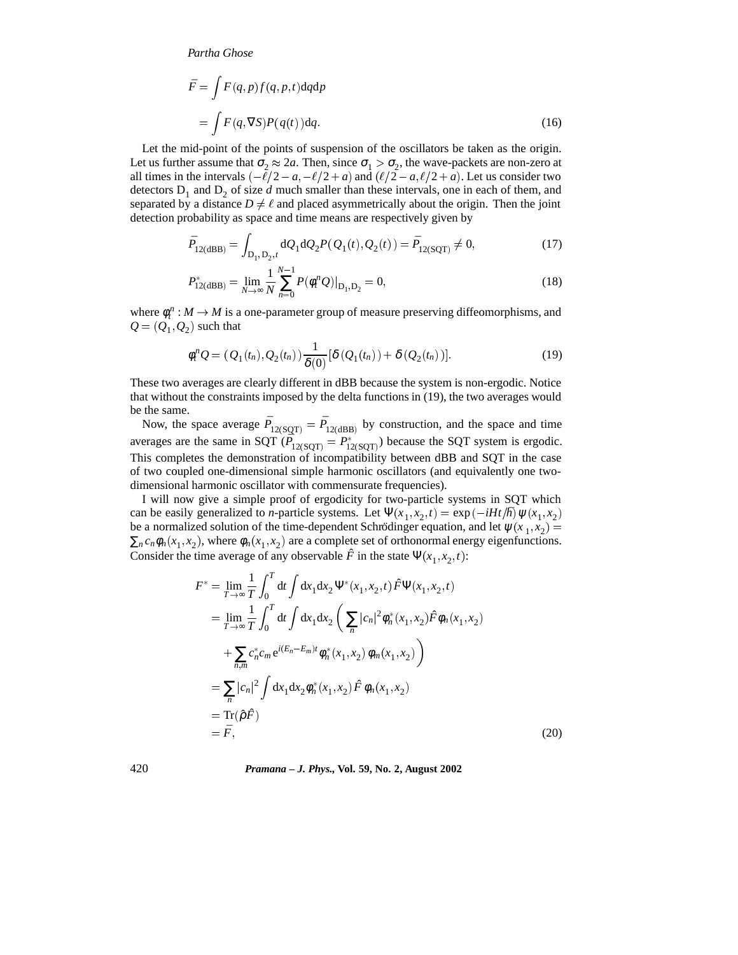*Partha Ghose*

Z

$$
\bar{F} = \int F(q, p) f(q, p, t) dq dp
$$

$$
= \int F(q, \nabla S) P(q(t)) dq.
$$
(16)

Let the mid-point of the points of suspension of the oscillators be taken as the origin. Let us further assume that  $\sigma_2 \approx 2a$ . Then, since  $\sigma_1 > \sigma_2$ , the wave-packets are non-zero at all times in the intervals  $(-\ell/2 - a, -\ell/2 + a)$  and  $(\ell/2 - a, \ell/2 + a)$ . Let us consider two detectors  $D_1$  and  $D_2$  of size *d* much smaller than these intervals, one in each of them, and separated by a distance  $D \neq \ell$  and placed asymmetrically about the origin. Then the joint detection probability as space and time means are respectively given by

$$
\bar{P}_{12(dBB)} = \int_{\mathcal{D}_1, \mathcal{D}_2, t} dQ_1 dQ_2 P(Q_1(t), Q_2(t)) = \bar{P}_{12(SQT)} \neq 0,
$$
\n(17)

$$
P_{12(\text{dBB})}^{*} = \lim_{N \to \infty} \frac{1}{N} \sum_{n=0}^{N-1} P(\phi_t^n Q)|_{D_1, D_2} = 0,
$$
\n(18)

where  $\phi_t^n : M \to M$  is a one-parameter group of measure preserving diffeomorphisms, and  $Q = (Q_1, Q_2)$  such that

$$
\phi_t^n Q = (Q_1(t_n), Q_2(t_n)) \frac{1}{\delta(0)} [\delta(Q_1(t_n)) + \delta(Q_2(t_n))].
$$
\n(19)

These two averages are clearly different in dBB because the system is non-ergodic. Notice that without the constraints imposed by the delta functions in (19), the two averages would be the same.

Now, the space average  $\bar{P}_{12(SQT)} = \bar{P}_{12(dBB)}$  by construction, and the space and time averages are the same in SQT  $(\vec{P}_{12(SQT)} = P_{12(SQT)}^*)$  because the SQT system is ergodic. This completes the demonstration of incompatibility between dBB and SQT in the case of two coupled one-dimensional simple harmonic oscillators (and equivalently one twodimensional harmonic oscillator with commensurate frequencies).

I will now give a simple proof of ergodicity for two-particle systems in SQT which can be easily generalized to *n*-particle systems. Let  $\Psi(x_1, x_2, t) = \exp(-iHt/\hbar)\Psi(x_1, x_2)$ be a normalized solution of the time-dependent Schrödinger equation, and let  $\psi(x_1, x_2) =$  $\sum_n c_n \phi_n(x_1, x_2)$ , where  $\phi_n(x_1, x_2)$  are a complete set of orthonormal energy eigenfunctions. Consider the time average of any observable  $\hat{F}$  in the state  $\Psi(x_1, x_2, t)$ :

$$
F^* = \lim_{T \to \infty} \frac{1}{T} \int_0^T dt \int dx_1 dx_2 \Psi^*(x_1, x_2, t) \hat{F} \Psi(x_1, x_2, t)
$$
  
\n
$$
= \lim_{T \to \infty} \frac{1}{T} \int_0^T dt \int dx_1 dx_2 \left( \sum_n |c_n|^2 \phi_n^*(x_1, x_2) \hat{F} \phi_n(x_1, x_2) \right)
$$
  
\n
$$
+ \sum_{n,m} c_n^* c_m e^{i(E_n - E_m)t} \phi_n^*(x_1, x_2) \phi_m(x_1, x_2) \right)
$$
  
\n
$$
= \sum_n |c_n|^2 \int dx_1 dx_2 \phi_n^*(x_1, x_2) \hat{F} \phi_n(x_1, x_2)
$$
  
\n
$$
= \text{Tr}(\hat{\rho} \hat{F})
$$
  
\n
$$
= \bar{F}, \qquad (20)
$$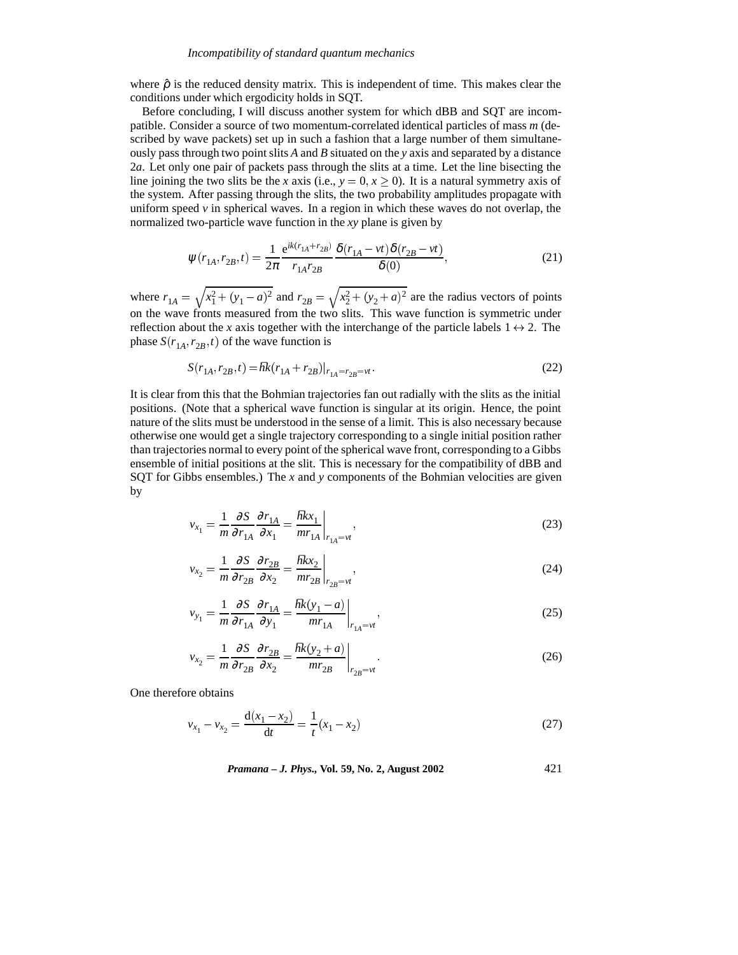### *Incompatibility of standard quantum mechanics*

where  $\hat{\rho}$  is the reduced density matrix. This is independent of time. This makes clear the conditions under which ergodicity holds in SQT.

Before concluding, I will discuss another system for which dBB and SQT are incompatible. Consider a source of two momentum-correlated identical particles of mass *m* (described by wave packets) set up in such a fashion that a large number of them simultaneously pass through two point slits *A* and *B* situated on the *y* axis and separated by a distance 2*a*. Let only one pair of packets pass through the slits at a time. Let the line bisecting the line joining the two slits be the *x* axis (i.e.,  $y = 0, x > 0$ ). It is a natural symmetry axis of the system. After passing through the slits, the two probability amplitudes propagate with uniform speed *v* in spherical waves. In a region in which these waves do not overlap, the normalized two-particle wave function in the *xy* plane is given by

$$
\psi(r_{1A}, r_{2B}, t) = \frac{1}{2\pi} \frac{e^{ik(r_{1A} + r_{2B})}}{r_{1A}r_{2B}} \frac{\delta(r_{1A} - vt)\delta(r_{2B} - vt)}{\delta(0)},
$$
(21)

where  $r_{1A} = \sqrt{x_1^2 + (y_1 - a)^2}$  and  $r_{2B} = \sqrt{x_2^2 + (y_2 + a)^2}$  are the radius vectors of points on the wave fronts measured from the two slits. This wave function is symmetric under reflection about the *x* axis together with the interchange of the particle labels  $1 \leftrightarrow 2$ . The phase  $S(r_{1A}, r_{2B}, t)$  of the wave function is

$$
S(r_{1A}, r_{2B}, t) = \hbar k (r_{1A} + r_{2B})|_{r_{1A} = r_{2B} = vt}.
$$
\n(22)

It is clear from this that the Bohmian trajectories fan out radially with the slits as the initial positions. (Note that a spherical wave function is singular at its origin. Hence, the point nature of the slits must be understood in the sense of a limit. This is also necessary because otherwise one would get a single trajectory corresponding to a single initial position rather than trajectories normal to every point of the spherical wave front, corresponding to a Gibbs ensemble of initial positions at the slit. This is necessary for the compatibility of dBB and SQT for Gibbs ensembles.) The *x* and *y* components of the Bohmian velocities are given by

$$
v_{x_1} = \frac{1}{m} \frac{\partial S}{\partial r_{1A}} \frac{\partial r_{1A}}{\partial x_1} = \frac{\hbar k x_1}{m r_{1A}} \bigg|_{r_{1A} = vt},\tag{23}
$$

$$
v_{x_2} = \frac{1}{m} \frac{\partial S}{\partial r_{2B}} \frac{\partial r_{2B}}{\partial x_2} = \frac{\hbar k x_2}{m r_{2B}} \bigg|_{r_{2B} = vt},\tag{24}
$$

$$
v_{y_1} = \frac{1}{m} \frac{\partial S}{\partial r_{1A}} \frac{\partial r_{1A}}{\partial y_1} = \frac{\hbar k (y_1 - a)}{mr_{1A}} \bigg|_{r_{1A} = vt},
$$
\n(25)

$$
v_{x_2} = \frac{1}{m} \frac{\partial S}{\partial r_{2B}} \frac{\partial r_{2B}}{\partial x_2} = \frac{\hbar k(y_2 + a)}{mr_{2B}} \bigg|_{r_{2B} = vt}.
$$
 (26)

One therefore obtains

$$
v_{x_1} - v_{x_2} = \frac{d(x_1 - x_2)}{dt} = \frac{1}{t}(x_1 - x_2)
$$
\n(27)

*Pramana – J. Phys.,* **Vol. 59, No. 2, August 2002** 421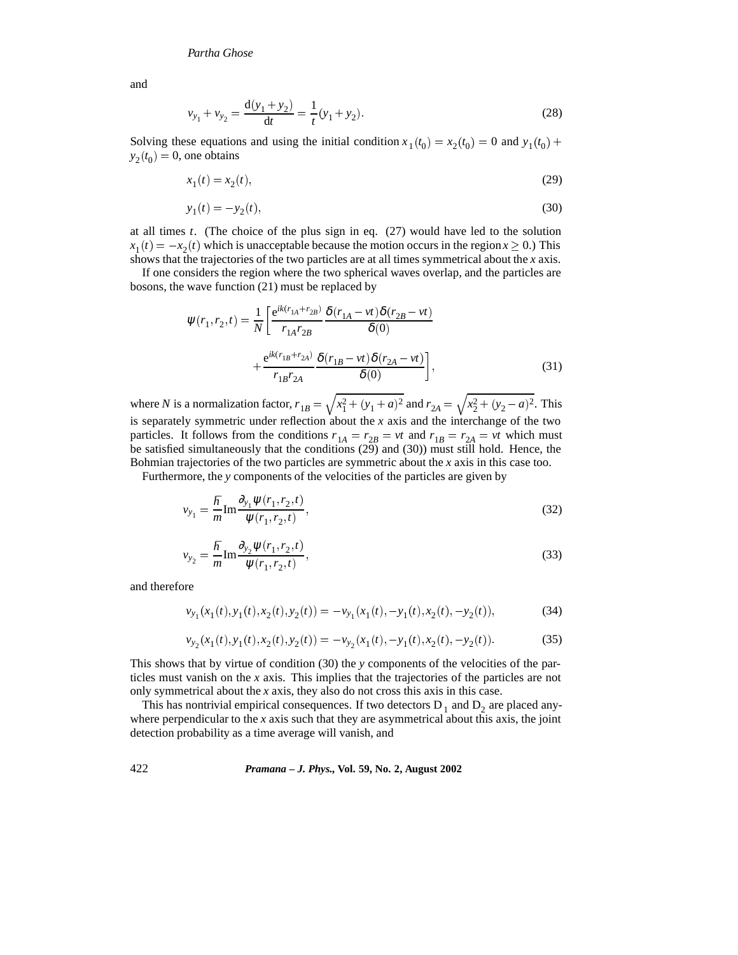and

$$
v_{y_1} + v_{y_2} = \frac{d(y_1 + y_2)}{dt} = \frac{1}{t}(y_1 + y_2).
$$
 (28)

Solving these equations and using the initial condition  $x_1(t_0) = x_2(t_0) = 0$  and  $y_1(t_0) +$  $y_2(t_0) = 0$ , one obtains

$$
x_1(t) = x_2(t),
$$
\n(29)

$$
y_1(t) = -y_2(t),
$$
\n(30)

at all times *t*. (The choice of the plus sign in eq. (27) would have led to the solution  $x_1(t) = -x_2(t)$  which is unacceptable because the motion occurs in the region  $x \ge 0$ .) This shows that the trajectories of the two particles are at all times symmetrical about the *x* axis.

If one considers the region where the two spherical waves overlap, and the particles are bosons, the wave function (21) must be replaced by

$$
\psi(r_1, r_2, t) = \frac{1}{N} \left[ \frac{e^{ik(r_{1A} + r_{2B})}}{r_{1A} r_{2B}} \frac{\delta(r_{1A} - vt)\delta(r_{2B} - vt)}{\delta(0)} + \frac{e^{ik(r_{1B} + r_{2A})}}{r_{1B} r_{2A}} \frac{\delta(r_{1B} - vt)\delta(r_{2A} - vt)}{\delta(0)} \right],
$$
\n(31)

where *N* is a normalization factor,  $r_{1B} = \sqrt{x_1^2 + (y_1 + a)^2}$  and  $r_{2A} = \sqrt{x_2^2 + (y_2 - a)^2}$ . This is separately symmetric under reflection about the *x* axis and the interchange of the two particles. It follows from the conditions  $r_{1A} = r_{2B} = vt$  and  $r_{1B} = r_{2A} = vt$  which must be satisfied simultaneously that the conditions (29) and (30)) must still hold. Hence, the Bohmian trajectories of the two particles are symmetric about the *x* axis in this case too.

Furthermore, the *y* components of the velocities of the particles are given by

$$
v_{y_1} = \frac{\hbar}{m} \text{Im} \frac{\partial_{y_1} \psi(r_1, r_2, t)}{\psi(r_1, r_2, t)},
$$
\n(32)

$$
v_{y_2} = \frac{\hbar}{m} \text{Im} \frac{\partial_{y_2} \psi(r_1, r_2, t)}{\psi(r_1, r_2, t)},
$$
\n(33)

and therefore

$$
v_{y_1}(x_1(t), y_1(t), x_2(t), y_2(t)) = -v_{y_1}(x_1(t), -y_1(t), x_2(t), -y_2(t)),
$$
\n(34)

$$
v_{y_2}(x_1(t), y_1(t), x_2(t), y_2(t)) = -v_{y_2}(x_1(t), -y_1(t), x_2(t), -y_2(t)).
$$
\n(35)

This shows that by virtue of condition (30) the *y* components of the velocities of the particles must vanish on the *x* axis. This implies that the trajectories of the particles are not only symmetrical about the *x* axis, they also do not cross this axis in this case.

This has nontrivial empirical consequences. If two detectors  $D_1$  and  $D_2$  are placed anywhere perpendicular to the  $x$  axis such that they are asymmetrical about this axis, the joint detection probability as a time average will vanish, and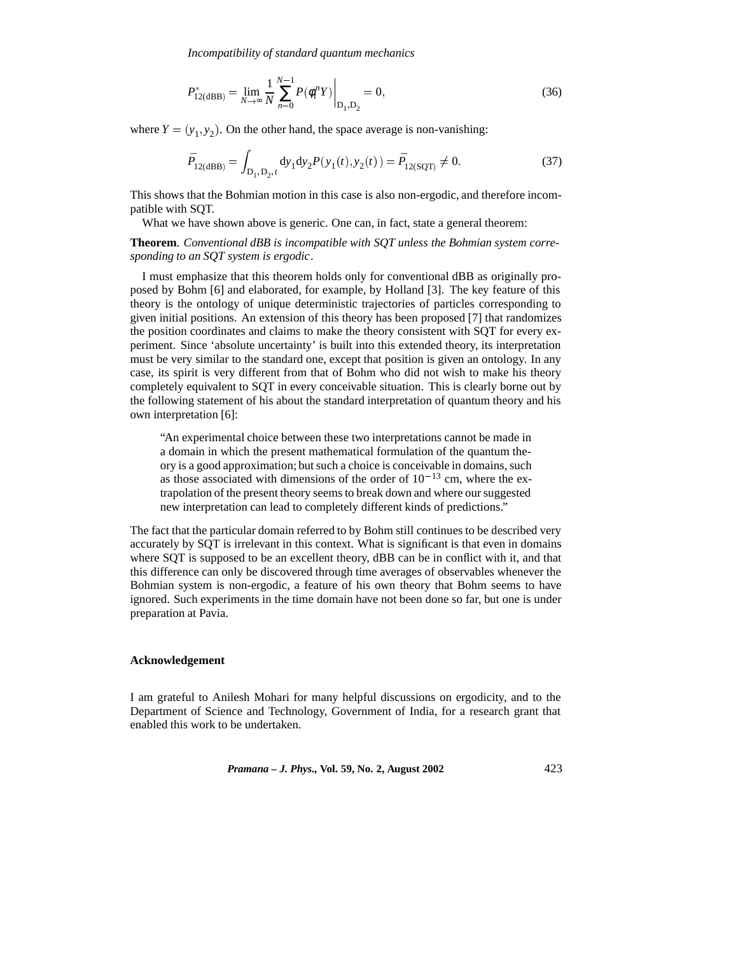$$
P_{12(\text{dBB})}^* = \lim_{N \to \infty} \frac{1}{N} \sum_{n=0}^{N-1} P(\phi_t^n Y) \bigg|_{D_1, D_2} = 0,
$$
\n(36)

where  $Y = (y_1, y_2)$ . On the other hand, the space average is non-vanishing:

$$
\bar{P}_{12(dBB)} = \int_{\mathcal{D}_1, \mathcal{D}_2, t} dy_1 dy_2 P(y_1(t), y_2(t)) = \bar{P}_{12(SQT)} \neq 0.
$$
\n(37)

This shows that the Bohmian motion in this case is also non-ergodic, and therefore incompatible with SQT.

What we have shown above is generic. One can, in fact, state a general theorem:

**Theorem**. *Conventional dBB is incompatible with SQT unless the Bohmian system corresponding to an SQT system is ergodic*.

I must emphasize that this theorem holds only for conventional dBB as originally proposed by Bohm [6] and elaborated, for example, by Holland [3]. The key feature of this theory is the ontology of unique deterministic trajectories of particles corresponding to given initial positions. An extension of this theory has been proposed [7] that randomizes the position coordinates and claims to make the theory consistent with SQT for every experiment. Since 'absolute uncertainty' is built into this extended theory, its interpretation must be very similar to the standard one, except that position is given an ontology. In any case, its spirit is very different from that of Bohm who did not wish to make his theory completely equivalent to SQT in every conceivable situation. This is clearly borne out by the following statement of his about the standard interpretation of quantum theory and his own interpretation [6]:

"An experimental choice between these two interpretations cannot be made in a domain in which the present mathematical formulation of the quantum theory is a good approximation; but such a choice is conceivable in domains, such as those associated with dimensions of the order of  $10^{-13}$  cm, where the extrapolation of the present theory seems to break down and where our suggested new interpretation can lead to completely different kinds of predictions."

The fact that the particular domain referred to by Bohm still continues to be described very accurately by SQT is irrelevant in this context. What is significant is that even in domains where SQT is supposed to be an excellent theory, dBB can be in conflict with it, and that this difference can only be discovered through time averages of observables whenever the Bohmian system is non-ergodic, a feature of his own theory that Bohm seems to have ignored. Such experiments in the time domain have not been done so far, but one is under preparation at Pavia.

### **Acknowledgement**

I am grateful to Anilesh Mohari for many helpful discussions on ergodicity, and to the Department of Science and Technology, Government of India, for a research grant that enabled this work to be undertaken.

*Pramana – J. Phys.,* **Vol. 59, No. 2, August 2002** 423